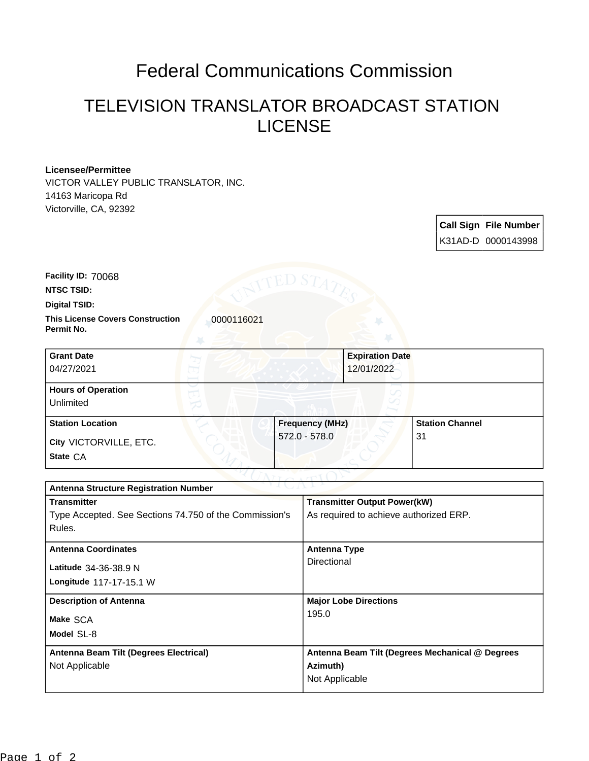## Federal Communications Commission

## TELEVISION TRANSLATOR BROADCAST STATION LICENSE

## **Licensee/Permittee**

VICTOR VALLEY PUBLIC TRANSLATOR, INC. 14163 Maricopa Rd Victorville, CA, 92392

> **Call Sign File Number** K31AD-D 0000143998

**NTSC TSID: Facility ID:** 70068

**Digital TSID:**

**This License Covers Construction**  00000116021 **Permit No.**

**State** CA **City** VICTORVILLE, ETC. **Grant Date** 04/27/2021 **Expiration Date** 12/01/2022 **Hours of Operation** Unlimited **Station Location Frequency (MHz)** 572.0 - 578.0 **Station Channel** 31

| ヘマゴ しっかいしゃ<br><b>Antenna Structure Registration Number</b> |                                                 |  |  |
|------------------------------------------------------------|-------------------------------------------------|--|--|
| <b>Transmitter</b>                                         | <b>Transmitter Output Power(kW)</b>             |  |  |
| Type Accepted. See Sections 74.750 of the Commission's     | As required to achieve authorized ERP.          |  |  |
| Rules.                                                     |                                                 |  |  |
| <b>Antenna Coordinates</b>                                 | Antenna Type                                    |  |  |
| Latitude 34-36-38.9 N                                      | Directional                                     |  |  |
| Longitude 117-17-15.1 W                                    |                                                 |  |  |
|                                                            |                                                 |  |  |
| <b>Description of Antenna</b>                              | <b>Major Lobe Directions</b>                    |  |  |
| Make SCA                                                   | 195.0                                           |  |  |
| Model SL-8                                                 |                                                 |  |  |
| Antenna Beam Tilt (Degrees Electrical)                     | Antenna Beam Tilt (Degrees Mechanical @ Degrees |  |  |
| Not Applicable                                             | Azimuth)                                        |  |  |
|                                                            | Not Applicable                                  |  |  |
|                                                            |                                                 |  |  |